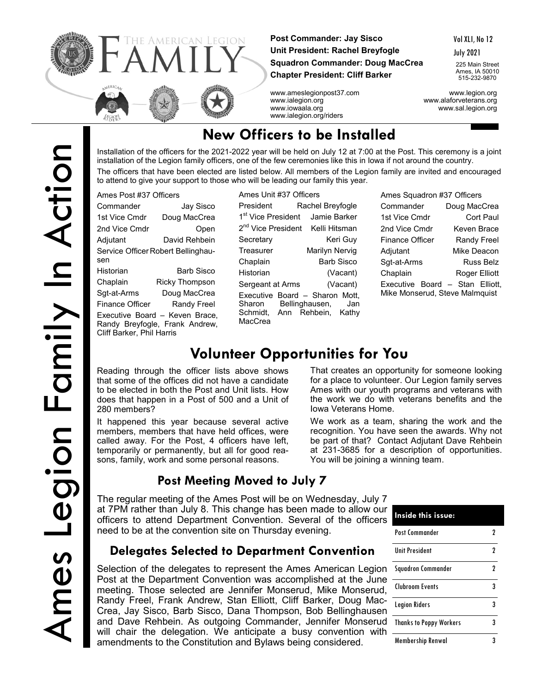

 $P_{\text{A}}$   $\mu$   $\sigma$   $\sigma$   $\sigma$ 

**Post Commander: Jay Sisco Unit President: Rachel Breyfogle Squadron Commander: Doug MacCrea Chapter President: Cliff Barker**

Vol XLI, No 12

July 2021

225 Main Street Ames, IA 50010 515-232-9870

www.ameslegionpost37.com www.legion.org www.ialegion.org www.alaforveterans.org www.iowaala.org www.sal.legion.org www.ialegion.org/riders

# **New Officers to be Installed**

Installation of the officers for the 2021-2022 year will be held on July 12 at 7:00 at the Post. This ceremony is a joint installation of the Legion family officers, one of the few ceremonies like this in Iowa if not around the country.

The officers that have been elected are listed below. All members of the Legion family are invited and encouraged to attend to give your support to those who will be leading our family this year.

| Ames Post #37 Ufficers                                                                        |                       |  |  |  |  |  |
|-----------------------------------------------------------------------------------------------|-----------------------|--|--|--|--|--|
| Commander                                                                                     | Jay Sisco             |  |  |  |  |  |
| 1st Vice Cmdr                                                                                 | Doug MacCrea          |  |  |  |  |  |
| 2nd Vice Cmdr                                                                                 | Open                  |  |  |  |  |  |
| Adjutant                                                                                      | David Rehbein         |  |  |  |  |  |
| Service Officer Robert Bellinghau-<br>sen                                                     |                       |  |  |  |  |  |
| Historian                                                                                     | Barb Sisco            |  |  |  |  |  |
| Chaplain                                                                                      | <b>Ricky Thompson</b> |  |  |  |  |  |
| Sqt-at-Arms                                                                                   | Doug MacCrea          |  |  |  |  |  |
| Finance Officer                                                                               | <b>Randy Freel</b>    |  |  |  |  |  |
| Executive Board - Keven Brace.<br>Randy Breyfogle, Frank Andrew,<br>Cliff Barker, Phil Harris |                       |  |  |  |  |  |

Ames Unit #37 Officers President Rachel Breyfogle 1<sup>st</sup> Vice President Jamie Barker 2<sup>nd</sup> Vice President Kelli Hitsman Secretary Keri Guy Treasurer Marilyn Nervig Chaplain Barb Sisco Historian (Vacant) Sergeant at Arms (Vacant) Executive Board – Sharon Mott,<br>Sharon Bellinghausen, Jan Sharon Bellinghausen, Jan<br>Schmidt, Ann Rehbein, Kathy Ann Rehbein, Kathy **MacCrea** 

| Ames Squadron #37 Officers                                        |                      |  |  |  |  |
|-------------------------------------------------------------------|----------------------|--|--|--|--|
| Commander                                                         | Doug MacCrea         |  |  |  |  |
| 1st Vice Cmdr                                                     | Cort Paul            |  |  |  |  |
| 2nd Vice Cmdr                                                     | Keven Brace          |  |  |  |  |
| Finance Officer                                                   | <b>Randy Freel</b>   |  |  |  |  |
| Adjutant                                                          | Mike Deacon          |  |  |  |  |
| Sqt-at-Arms                                                       | <b>Russ Belz</b>     |  |  |  |  |
| Chaplain                                                          | <b>Roger Elliott</b> |  |  |  |  |
| Executive Board - Stan Elliott,<br>Mike Monserud, Steve Malmquist |                      |  |  |  |  |

# **Volunteer Opportunities for You**

Reading through the officer lists above shows that some of the offices did not have a candidate to be elected in both the Post and Unit lists. How does that happen in a Post of 500 and a Unit of 280 members?

It happened this year because several active members, members that have held offices, were called away. For the Post, 4 officers have left, temporarily or permanently, but all for good reasons, family, work and some personal reasons.

## **Post Meeting Moved to July 7**

The regular meeting of the Ames Post will be on Wednesday, July 7 at 7PM rather than July 8. This change has been made to allow our officers to attend Department Convention. Several of the officers need to be at the convention site on Thursday evening.

### **Delegates Selected to Department Convention**

Selection of the delegates to represent the Ames American Legion Post at the Department Convention was accomplished at the June meeting. Those selected are Jennifer Monserud, Mike Monserud, Randy Freel, Frank Andrew, Stan Elliott, Cliff Barker, Doug Mac-Crea, Jay Sisco, Barb Sisco, Dana Thompson, Bob Bellinghausen and Dave Rehbein. As outgoing Commander, Jennifer Monserud will chair the delegation. We anticipate a busy convention with amendments to the Constitution and Bylaws being considered.

That creates an opportunity for someone looking for a place to volunteer. Our Legion family serves Ames with our youth programs and veterans with the work we do with veterans benefits and the Iowa Veterans Home.

We work as a team, sharing the work and the recognition. You have seen the awards. Why not be part of that? Contact Adjutant Dave Rehbein at 231-3685 for a description of opportunities. You will be joining a winning team.

| <b>Inside this issue:</b>      |   |
|--------------------------------|---|
| Post Commander                 | 7 |
| <b>Ilnit President</b>         | 2 |
| Squadron Commander             | 2 |
| Clubroom Events                | 3 |
| <b>Legion Riders</b>           | 3 |
| <b>Thanks to Poppy Workers</b> | 3 |
| Membership Renwal              |   |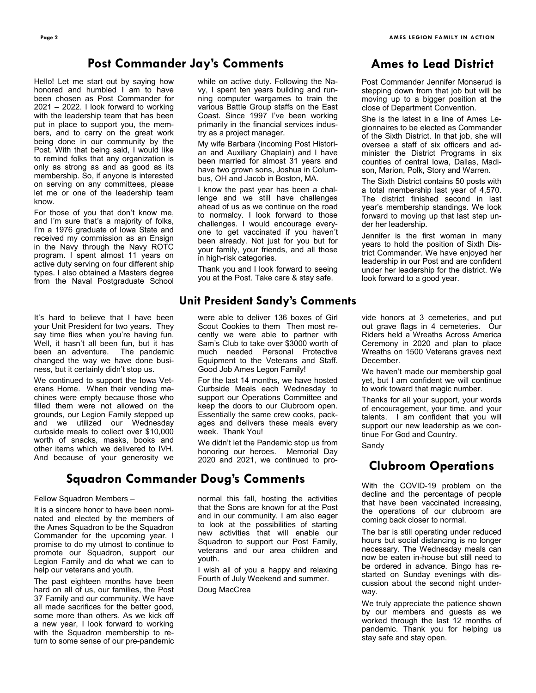#### **Post Commander Jay's Comments**

Hello! Let me start out by saying how honored and humbled I am to have been chosen as Post Commander for 2021 – 2022. I look forward to working with the leadership team that has been put in place to support you, the members, and to carry on the great work being done in our community by the Post. With that being said, I would like to remind folks that any organization is only as strong as and as good as its membership. So, if anyone is interested on serving on any committees, please let me or one of the leadership team know.

For those of you that don't know me, and I'm sure that's a majority of folks, I'm a 1976 graduate of Iowa State and received my commission as an Ensign in the Navy through the Navy ROTC program. I spent almost 11 years on active duty serving on four different ship types. I also obtained a Masters degree from the Naval Postgraduate School

It's hard to believe that I have been your Unit President for two years. They say time flies when you're having fun. Well, it hasn't all been fun, but it has been an adventure. The pandemic changed the way we have done business, but it certainly didn't stop us.

We continued to support the Iowa Veterans Home. When their vending machines were empty because those who filled them were not allowed on the grounds, our Legion Family stepped up and we utilized our Wednesday curbside meals to collect over \$10,000 worth of snacks, masks, books and other items which we delivered to IVH. And because of your generosity we

## **Squadron Commander Doug's Comments**

#### Fellow Squadron Members –

It is a sincere honor to have been nominated and elected by the members of the Ames Squadron to be the Squadron Commander for the upcoming year. I promise to do my utmost to continue to promote our Squadron, support our Legion Family and do what we can to help our veterans and youth.

The past eighteen months have been hard on all of us, our families, the Post 37 Family and our community. We have all made sacrifices for the better good, some more than others. As we kick off a new year, I look forward to working with the Squadron membership to return to some sense of our pre-pandemic while on active duty. Following the Navy, I spent ten years building and running computer wargames to train the various Battle Group staffs on the East Coast. Since 1997 I've been working primarily in the financial services industry as a project manager.

My wife Barbara (incoming Post Historian and Auxiliary Chaplain) and I have been married for almost 31 years and have two grown sons, Joshua in Columbus, OH and Jacob in Boston, MA.

I know the past year has been a challenge and we still have challenges ahead of us as we continue on the road to normalcy. I look forward to those challenges. I would encourage everyone to get vaccinated if you haven't been already. Not just for you but for your family, your friends, and all those in high-risk categories.

Thank you and I look forward to seeing you at the Post. Take care & stay safe.

#### **Unit President Sandy's Comments**

were able to deliver 136 boxes of Girl Scout Cookies to them Then most recently we were able to partner with Sam's Club to take over \$3000 worth of much needed Personal Protective Equipment to the Veterans and Staff. Good Job Ames Legon Family!

For the last 14 months, we have hosted Curbside Meals each Wednesday to support our Operations Committee and keep the doors to our Clubroom open. Essentially the same crew cooks, packages and delivers these meals every week. Thank You!

We didn't let the Pandemic stop us from honoring our heroes. Memorial Day 2020 and 2021, we continued to pro-

normal this fall, hosting the activities that the Sons are known for at the Post and in our community. I am also eager to look at the possibilities of starting new activities that will enable our Squadron to support our Post Family, veterans and our area children and youth.

I wish all of you a happy and relaxing Fourth of July Weekend and summer. Doug MacCrea

## **Ames to Lead District**

Post Commander Jennifer Monserud is stepping down from that job but will be moving up to a bigger position at the close of Department Convention.

She is the latest in a line of Ames Legionnaires to be elected as Commander of the Sixth District. In that job, she will oversee a staff of six officers and administer the District Programs in six counties of central Iowa, Dallas, Madison, Marion, Polk, Story and Warren.

The Sixth District contains 50 posts with a total membership last year of 4,570. The district finished second in last year's membership standings. We look forward to moving up that last step under her leadership.

Jennifer is the first woman in many years to hold the position of Sixth District Commander. We have enjoyed her leadership in our Post and are confident under her leadership for the district. We look forward to a good year.

vide honors at 3 cemeteries, and put out grave flags in 4 cemeteries. Our Riders held a Wreaths Across America Ceremony in 2020 and plan to place Wreaths on 1500 Veterans graves next December.

We haven't made our membership goal yet, but I am confident we will continue to work toward that magic number.

Thanks for all your support, your words of encouragement, your time, and your talents. I am confident that you will support our new leadership as we continue For God and Country.

Sandy

### **Clubroom Operations**

With the COVID-19 problem on the decline and the percentage of people that have been vaccinated increasing, the operations of our clubroom are coming back closer to normal.

The bar is still operating under reduced hours but social distancing is no longer necessary. The Wednesday meals can now be eaten in-house but still need to be ordered in advance. Bingo has restarted on Sunday evenings with discussion about the second night underway.

We truly appreciate the patience shown by our members and guests as we worked through the last 12 months of pandemic. Thank you for helping us stay safe and stay open.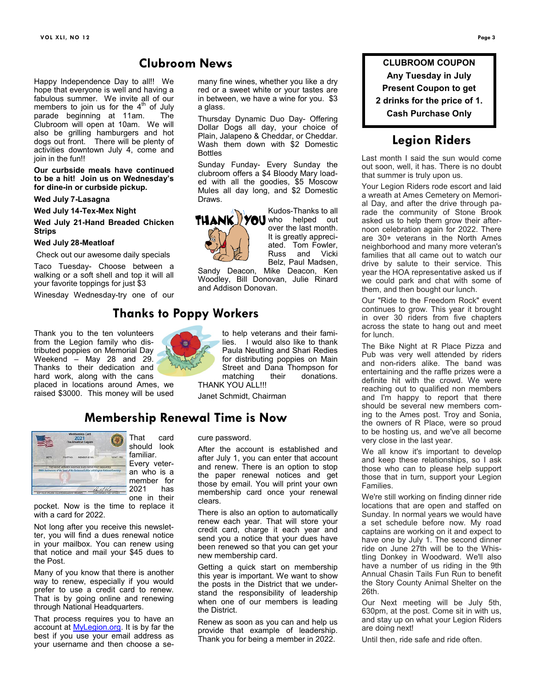#### **Clubroom News**

a glass.

Happy Independence Day to all!! We hope that everyone is well and having a fabulous summer. We invite all of our members to join us for the  $4<sup>th</sup>$  of July parade beginning at 11am. The Clubroom will open at 10am. We will also be grilling hamburgers and hot dogs out front. There will be plenty of activities downtown July 4, come and join in the fun!!

**Our curbside meals have continued to be a hit! Join us on Wednesday's for dine-in or curbside pickup.**

#### **Wed July 7-Lasagna**

**Wed July 14-Tex-Mex Night**

#### **Wed July 21-Hand Breaded Chicken Strips**

#### **Wed July 28-Meatloaf**

Check out our awesome daily specials

Taco Tuesday- Choose between a walking or a soft shell and top it will all your favorite toppings for just \$3

Winesday Wednesday-try one of our

Thank you to the ten volunteers from the Legion family who distributed poppies on Memorial Day Weekend – May 28 and 29. Thanks to their dedication and hard work, along with the cans placed in locations around Ames, we raised \$3000. This money will be used



Thursday Dynamic Duo Day- Offering Dollar Dogs all day, your choice of Plain, Jalapeno & Cheddar, or Cheddar. Wash them down with \$2 Domestic Bottles

many fine wines, whether you like a dry red or a sweet white or your tastes are in between, we have a wine for you. \$3

Sunday Funday- Every Sunday the clubroom offers a \$4 Bloody Mary loaded with all the goodies, \$5 Moscow Mules all day long, and \$2 Domestic Draws.



over the last month. It is greatly appreciated. Tom Fowler,<br>Russ and Vicki and Vicki Belz, Paul Madsen.

Kudos-Thanks to all

Sandy Deacon, Mike Deacon, Ken Woodley, Bill Donovan, Julie Rinard and Addison Donovan.

## **Thanks to Poppy Workers**

to help veterans and their families. I would also like to thank Paula Neutling and Shari Redies for distributing poppies on Main Street and Dana Thompson for matching their donations. THANK YOU ALL!!!

Janet Schmidt, Chairman

### **Membership Renewal Time is Now**



Every veteran who is a member for 2021 has one in their

pocket. Now is the time to replace it with a card for 2022.

Not long after you receive this newsletter, you will find a dues renewal notice in your mailbox. You can renew using that notice and mail your \$45 dues to the Post.

Many of you know that there is another way to renew, especially if you would prefer to use a credit card to renew. That is by going online and renewing through National Headquarters.

That process requires you to have an account at **MyLegion.org**. It is by far the best if you use your email address as your username and then choose a secure password.

After the account is established and after July 1, you can enter that account and renew. There is an option to stop the paper renewal notices and get those by email. You will print your own membership card once your renewal clears.

There is also an option to automatically renew each year. That will store your credit card, charge it each year and send you a notice that your dues have been renewed so that you can get your new membership card.

Getting a quick start on membership this year is important. We want to show the posts in the District that we understand the responsibility of leadership when one of our members is leading the District.

Renew as soon as you can and help us provide that example of leadership. Thank you for being a member in 2022.

**CLUBROOM COUPON Any Tuesday in July Present Coupon to get 2 drinks for the price of 1. Cash Purchase Only**

#### **Legion Riders**

Last month I said the sun would come out soon, well, it has. There is no doubt that summer is truly upon us.

Your Legion Riders rode escort and laid a wreath at Ames Cemetery on Memorial Day, and after the drive through parade the community of Stone Brook asked us to help them grow their afternoon celebration again for 2022. There are 30+ veterans in the North Ames neighborhood and many more veteran's families that all came out to watch our drive by salute to their service. This year the HOA representative asked us if we could park and chat with some of them, and then bought our lunch.

Our "Ride to the Freedom Rock" event continues to grow. This year it brought in over 30 riders from five chapters across the state to hang out and meet for lunch.

The Bike Night at R Place Pizza and Pub was very well attended by riders and non-riders alike. The band was entertaining and the raffle prizes were a definite hit with the crowd. We were reaching out to qualified non members and I'm happy to report that there should be several new members coming to the Ames post. Troy and Sonia, the owners of R Place, were so proud to be hosting us, and we've all become very close in the last year.

We all know it's important to develop and keep these relationships, so I ask those who can to please help support those that in turn, support your Legion Families.

We're still working on finding dinner ride locations that are open and staffed on Sunday. In normal years we would have a set schedule before now. My road captains are working on it and expect to have one by July 1. The second dinner ride on June 27th will be to the Whistling Donkey in Woodward. We'll also have a number of us riding in the 9th Annual Chasin Tails Fun Run to benefit the Story County Animal Shelter on the 26th.

Our Next meeting will be July 5th, 630pm, at the post. Come sit in with us, and stay up on what your Legion Riders are doing next!

Until then, ride safe and ride often.